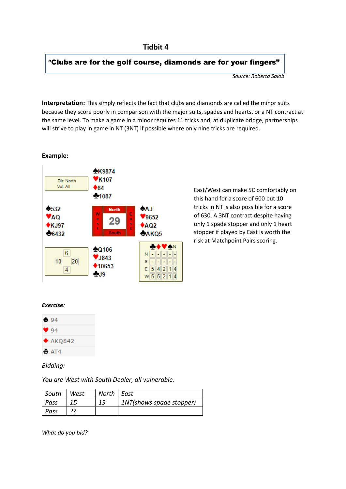### **Tidbit 4**

# **"**Clubs are for the golf course, diamonds are for your fingers"

*Source: Roberta Salob*

**Interpretation:** This simply reflects the fact that clubs and diamonds are called the minor suits because they score poorly in comparison with the major suits, spades and hearts, or a NT contract at the same level. To make a game in a minor requires 11 tricks and, at duplicate bridge, partnerships will strive to play in game in NT (3NT) if possible where only nine tricks are required.

#### **Example:**



East/West can make 5C comfortably on this hand for a score of 600 but 10 tricks in NT is also possible for a score of 630. A 3NT contract despite having only 1 spade stopper and only 1 heart stopper if played by East is worth the risk at Matchpoint Pairs scoring.

#### *Exercise:*



## *Bidding:*

*You are West with South Dealer, all vulnerable.*

| South | West | North East |                          |
|-------|------|------------|--------------------------|
| Pass  |      |            | 1NT(shows spade stopper) |
| Pass  |      |            |                          |

*What do you bid?*